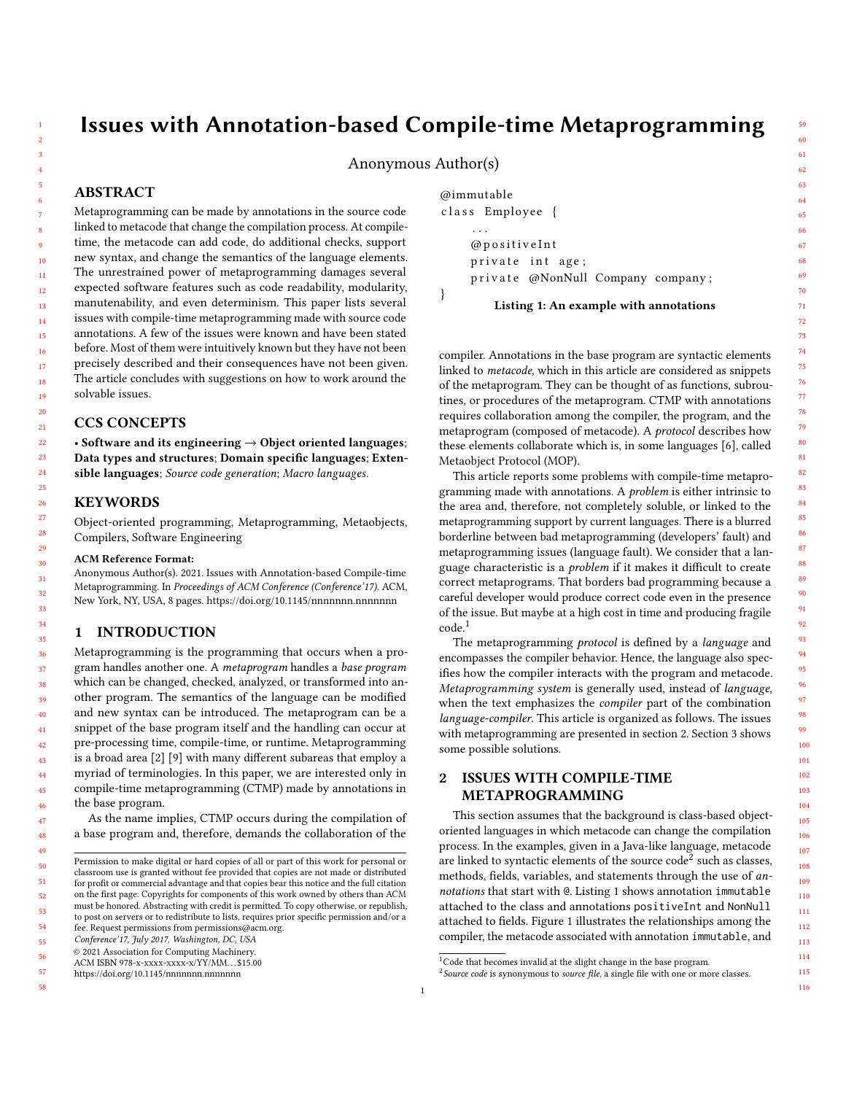56

58

# Issues with Annotation-based Compile-time Metaprogramming

# Anonymous Author(s)

# ABSTRACT

Metaprogramming can be made by annotations in the source code linked to metacode that change the compilation process. At compiletime, the metacode can add code, do additional checks, support new syntax, and change the semantics of the language elements. The unrestrained power of metaprogramming damages several expected software features such as code readability, modularity, manutenability, and even determinism. This paper lists several issues with compile-time metaprogramming made with source code annotations. A few of the issues were known and have been stated before. Most of them were intuitively known but they have not been precisely described and their consequences have not been given. The article concludes with suggestions on how to work around the solvable issues.

# CCS CONCEPTS

• Software and its engineering  $\rightarrow$  Object oriented languages; Data types and structures; Domain specific languages; Extensible languages; Source code generation; Macro languages.

## KEYWORDS

Object-oriented programming, Metaprogramming, Metaobjects, Compilers, Software Engineering

#### ACM Reference Format:

Anonymous Author(s). 2021. Issues with Annotation-based Compile-time Metaprogramming. In Proceedings of ACM Conference (Conference'17). ACM, New York, NY, USA, [8](#page-7-0) pages.<https://doi.org/10.1145/nnnnnnn.nnnnnnn>

## 1 INTRODUCTION

Metaprogramming is the programming that occurs when a program handles another one. A metaprogram handles a base program which can be changed, checked, analyzed, or transformed into another program. The semantics of the language can be modified and new syntax can be introduced. The metaprogram can be a snippet of the base program itself and the handling can occur at pre-processing time, compile-time, or runtime. Metaprogramming is a broad area [\[2\]](#page-7-1) [\[9\]](#page-7-2) with many different subareas that employ a myriad of terminologies. In this paper, we are interested only in compile-time metaprogramming (CTMP) made by annotations in the base program.

As the name implies, CTMP occurs during the compilation of a base program and, therefore, demands the collaboration of the

55 Conference'17, July 2017, Washington, DC, USA

© 2021 Association for Computing Machinery.

57 <https://doi.org/10.1145/nnnnnnn.nnnnnnn> <span id="page-0-3"></span>@immutable class Employee { . . . @ p o s i t i v e I n t private int age; private @NonNull Company company; }

Listing 1: An example with annotations

compiler. Annotations in the base program are syntactic elements linked to metacode, which in this article are considered as snippets of the metaprogram. They can be thought of as functions, subroutines, or procedures of the metaprogram. CTMP with annotations requires collaboration among the compiler, the program, and the metaprogram (composed of metacode). A protocol describes how these elements collaborate which is, in some languages [\[6\]](#page-7-3), called Metaobject Protocol (MOP).

This article reports some problems with compile-time metaprogramming made with annotations. A *problem* is either intrinsic to the area and, therefore, not completely soluble, or linked to the metaprogramming support by current languages. There is a blurred borderline between bad metaprogramming (developers' fault) and metaprogramming issues (language fault). We consider that a language characteristic is a *problem* if it makes it difficult to create correct metaprograms. That borders bad programming because a careful developer would produce correct code even in the presence of the issue. But maybe at a high cost in time and producing fragile code.[1](#page-0-0)

The metaprogramming protocol is defined by a language and encompasses the compiler behavior. Hence, the language also specifies how the compiler interacts with the program and metacode. Metaprogramming system is generally used, instead of language, when the text emphasizes the compiler part of the combination language-compiler. This article is organized as follows. The issues with metaprogramming are presented in section [2.](#page-0-1) Section [3](#page-5-0) shows some possible solutions.

# <span id="page-0-1"></span>2 ISSUES WITH COMPILE-TIME METAPROGRAMMING

This section assumes that the background is class-based objectoriented languages in which metacode can change the compilation process. In the examples, given in a Java-like language, metacode are linked to syntactic elements of the source  $\text{code}^2$  $\text{code}^2$  such as classes, methods, fields, variables, and statements through the use of annotations that start with @. Listing [1](#page-0-3) shows annotation immutable attached to the class and annotations positiveInt and NonNull attached to fields. [Figure 1](#page-1-0) illustrates the relationships among the compiler, the metacode associated with annotation immutable, and

Permission to make digital or hard copies of all or part of this work for personal or classroom use is granted without fee provided that copies are not made or distributed for profit or commercial advantage and that copies bear this notice and the full citation on the first page. Copyrights for components of this work owned by others than ACM must be honored. Abstracting with credit is permitted. To copy otherwise, or republish, to post on servers or to redistribute to lists, requires prior specific permission and/or a fee. Request permissions from permissions@acm.org.

ACM ISBN 978-x-xxxx-xxxx-x/YY/MM. . . \$15.00

<span id="page-0-0"></span> $1$ Code that becomes invalid at the slight change in the base program.

<span id="page-0-2"></span> $2$  Source code is synonymous to source file, a single file with one or more classes.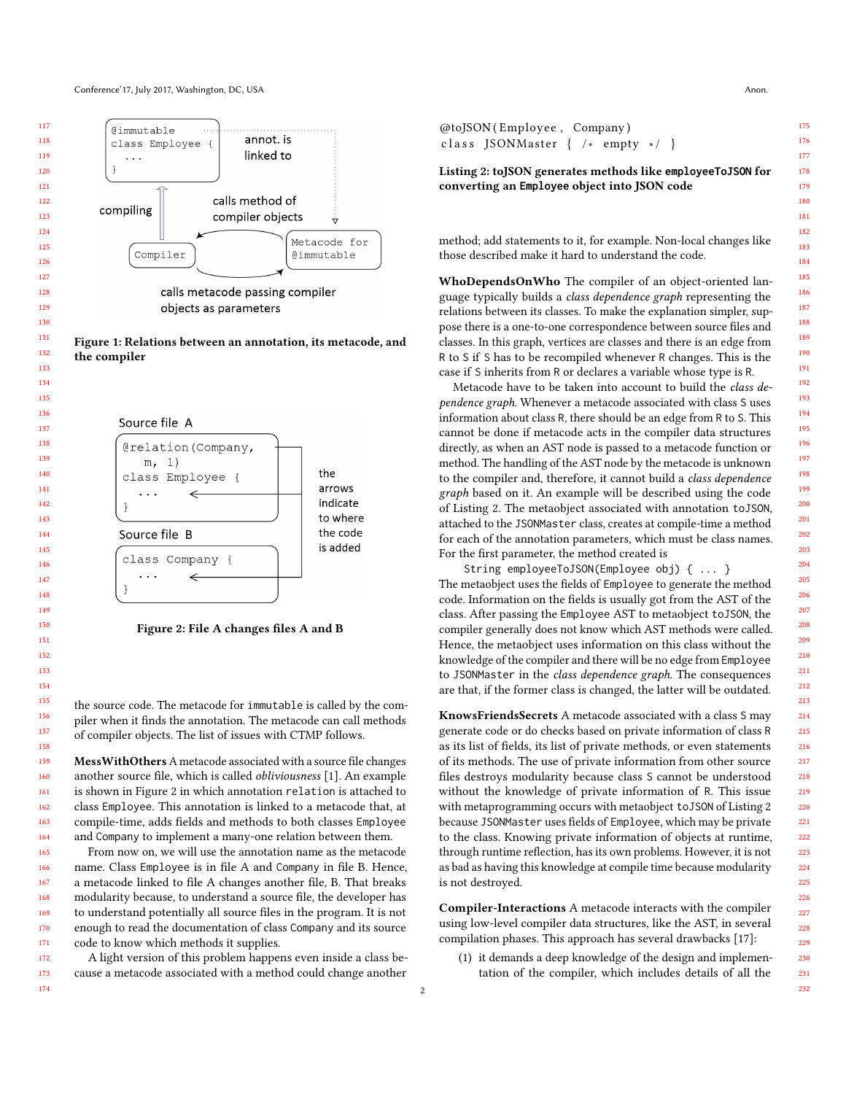<span id="page-1-0"></span>

Figure 1: Relations between an annotation, its metacode, and the compiler

<span id="page-1-1"></span>

Figure 2: File A changes files A and B

the source code. The metacode for immutable is called by the compiler when it finds the annotation. The metacode can call methods of compiler objects. The list of issues with CTMP follows.

Mess With Others A metacode associated with a source file changes another source file, which is called obliviousness [\[1\]](#page-7-4). An example is shown in Figure [2](#page-1-1) in which annotation relation is attached to class Employee. This annotation is linked to a metacode that, at compile-time, adds fields and methods to both classes Employee and Company to implement a many-one relation between them.

From now on, we will use the annotation name as the metacode name. Class Employee is in file A and Company in file B. Hence, a metacode linked to file A changes another file, B. That breaks modularity because, to understand a source file, the developer has to understand potentially all source files in the program. It is not enough to read the documentation of class Company and its source code to know which methods it supplies.

A light version of this problem happens even inside a class because a metacode associated with a method could change another

<span id="page-1-2"></span>

| @toJSON(Employee, Company) |                                                |  |  |  |  |  |  |
|----------------------------|------------------------------------------------|--|--|--|--|--|--|
|                            | class JSONMaster $\{ / * \text{ empty } */ \}$ |  |  |  |  |  |  |

Listing 2: toJSON generates methods like **employeeToJSON** for converting an **Employee** object into JSON code

method; add statements to it, for example. Non-local changes like those described make it hard to understand the code.

WhoDependsOnWho The compiler of an object-oriented language typically builds a class dependence graph representing the relations between its classes. To make the explanation simpler, suppose there is a one-to-one correspondence between source files and classes. In this graph, vertices are classes and there is an edge from R to S if S has to be recompiled whenever R changes. This is the case if S inherits from R or declares a variable whose type is R.

Metacode have to be taken into account to build the class dependence graph. Whenever a metacode associated with class S uses information about class R, there should be an edge from R to S. This cannot be done if metacode acts in the compiler data structures directly, as when an AST node is passed to a metacode function or method. The handling of the AST node by the metacode is unknown to the compiler and, therefore, it cannot build a class dependence graph based on it. An example will be described using the code of Listing [2.](#page-1-2) The metaobject associated with annotation toJSON, attached to the JSONMaster class, creates at compile-time a method for each of the annotation parameters, which must be class names. For the first parameter, the method created is

String employeeToJSON(Employee obj) { ... }

The metaobject uses the fields of Employee to generate the method code. Information on the fields is usually got from the AST of the class. After passing the Employee AST to metaobject toJSON, the compiler generally does not know which AST methods were called. Hence, the metaobject uses information on this class without the knowledge of the compiler and there will be no edge from Employee to JSONMaster in the class dependence graph. The consequences are that, if the former class is changed, the latter will be outdated.

KnowsFriendsSecrets A metacode associated with a class S may generate code or do checks based on private information of class R as its list of fields, its list of private methods, or even statements of its methods. The use of private information from other source files destroys modularity because class S cannot be understood without the knowledge of private information of R. This issue with metaprogramming occurs with metaobject toJSON of Listing [2](#page-1-2) because JSONMaster uses fields of Employee, which may be private to the class. Knowing private information of objects at runtime, through runtime reflection, has its own problems. However, it is not as bad as having this knowledge at compile time because modularity is not destroyed.

Compiler-Interactions A metacode interacts with the compiler using low-level compiler data structures, like the AST, in several compilation phases. This approach has several drawbacks [\[17\]](#page-7-5):

(1) it demands a deep knowledge of the design and implementation of the compiler, which includes details of all the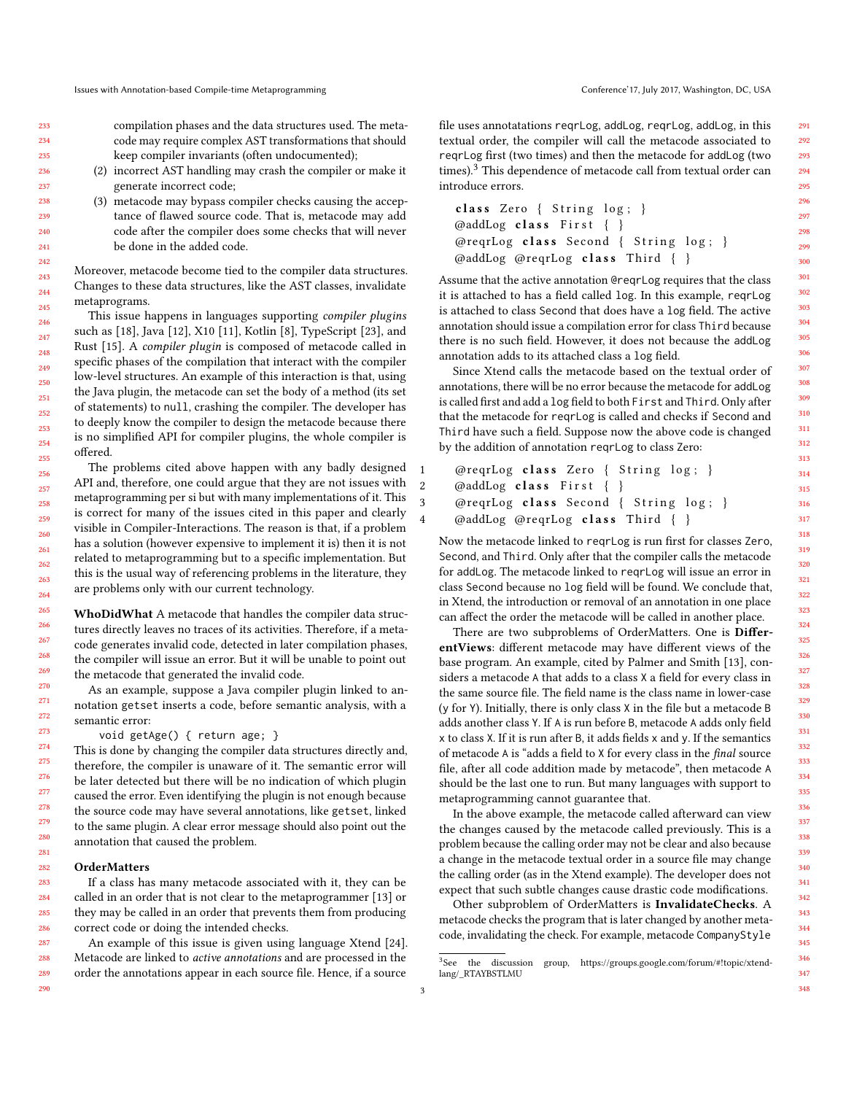compilation phases and the data structures used. The metacode may require complex AST transformations that should keep compiler invariants (often undocumented);

- (2) incorrect AST handling may crash the compiler or make it generate incorrect code;
- (3) metacode may bypass compiler checks causing the acceptance of flawed source code. That is, metacode may add code after the compiler does some checks that will never be done in the added code.

Moreover, metacode become tied to the compiler data structures. Changes to these data structures, like the AST classes, invalidate metaprograms.

This issue happens in languages supporting compiler plugins such as [\[18\]](#page-7-6), Java [\[12\]](#page-7-7), X10 [\[11\]](#page-7-8), Kotlin [\[8\]](#page-7-9), TypeScript [\[23\]](#page-7-10), and Rust [\[15\]](#page-7-11). A compiler plugin is composed of metacode called in specific phases of the compilation that interact with the compiler low-level structures. An example of this interaction is that, using the Java plugin, the metacode can set the body of a method (its set of statements) to null, crashing the compiler. The developer has to deeply know the compiler to design the metacode because there is no simplified API for compiler plugins, the whole compiler is offered.

The problems cited above happen with any badly designed API and, therefore, one could argue that they are not issues with metaprogramming per si but with many implementations of it. This is correct for many of the issues cited in this paper and clearly visible in Compiler-Interactions. The reason is that, if a problem has a solution (however expensive to implement it is) then it is not related to metaprogramming but to a specific implementation. But this is the usual way of referencing problems in the literature, they are problems only with our current technology.

WhoDidWhat A metacode that handles the compiler data structures directly leaves no traces of its activities. Therefore, if a metacode generates invalid code, detected in later compilation phases, the compiler will issue an error. But it will be unable to point out the metacode that generated the invalid code.

As an example, suppose a Java compiler plugin linked to annotation getset inserts a code, before semantic analysis, with a semantic error:

void getAge() { return age; }

This is done by changing the compiler data structures directly and, therefore, the compiler is unaware of it. The semantic error will be later detected but there will be no indication of which plugin caused the error. Even identifying the plugin is not enough because the source code may have several annotations, like getset, linked to the same plugin. A clear error message should also point out the annotation that caused the problem.

#### **OrderMatters**

If a class has many metacode associated with it, they can be called in an order that is not clear to the metaprogrammer [\[13\]](#page-7-12) or they may be called in an order that prevents them from producing correct code or doing the intended checks.

An example of this issue is given using language Xtend [\[24\]](#page-7-13). Metacode are linked to active annotations and are processed in the order the annotations appear in each source file. Hence, if a source

file uses annotatations reqrLog, addLog, reqrLog, addLog, in this textual order, the compiler will call the metacode associated to reqrLog first (two times) and then the metacode for addLog (two times).<sup>[3](#page-2-0)</sup> This dependence of metacode call from textual order can introduce errors.

```
class Zero \{ String log; \}\textcircled{a} addLog class First { }
@reqrLog class Second { String log; }
\textcircled{a}ddLog \textcircled{a}reqrLog class Third { }
```
Assume that the active annotation @reqrLog requires that the class it is attached to has a field called log. In this example, reqrLog is attached to class Second that does have a log field. The active annotation should issue a compilation error for class Third because there is no such field. However, it does not because the addLog annotation adds to its attached class a log field.

Since Xtend calls the metacode based on the textual order of annotations, there will be no error because the metacode for addLog is called first and add a log field to both First and Third. Only after that the metacode for reqrLog is called and checks if Second and Third have such a field. Suppose now the above code is changed by the addition of annotation reqrLog to class Zero:

```
1 @reqrLog class Zero { String log; }
2 @addLog class First { }
3 @reqrLog class Second { String log; }
4 @addLog @reqrLog class Third { }
```
Now the metacode linked to reqrLog is run first for classes Zero, Second, and Third. Only after that the compiler calls the metacode for addLog. The metacode linked to reqrLog will issue an error in class Second because no log field will be found. We conclude that, in Xtend, the introduction or removal of an annotation in one place can affect the order the metacode will be called in another place.

There are two subproblems of OrderMatters. One is DifferentViews: different metacode may have different views of the base program. An example, cited by Palmer and Smith [\[13\]](#page-7-12), considers a metacode A that adds to a class X a field for every class in the same source file. The field name is the class name in lower-case (y for Y). Initially, there is only class X in the file but a metacode B adds another class Y. If A is run before B, metacode A adds only field x to class X. If it is run after B, it adds fields x and y. If the semantics of metacode A is "adds a field to X for every class in the final source file, after all code addition made by metacode", then metacode A should be the last one to run. But many languages with support to metaprogramming cannot guarantee that.

In the above example, the metacode called afterward can view the changes caused by the metacode called previously. This is a problem because the calling order may not be clear and also because a change in the metacode textual order in a source file may change the calling order (as in the Xtend example). The developer does not expect that such subtle changes cause drastic code modifications.

Other subproblem of OrderMatters is InvalidateChecks. A metacode checks the program that is later changed by another metacode, invalidating the check. For example, metacode CompanyStyle

<span id="page-2-0"></span><sup>&</sup>lt;sup>3</sup>See the discussion group, https://groups.google.com/forum/#!topic/xtendlang/\_RTAYBSTLMU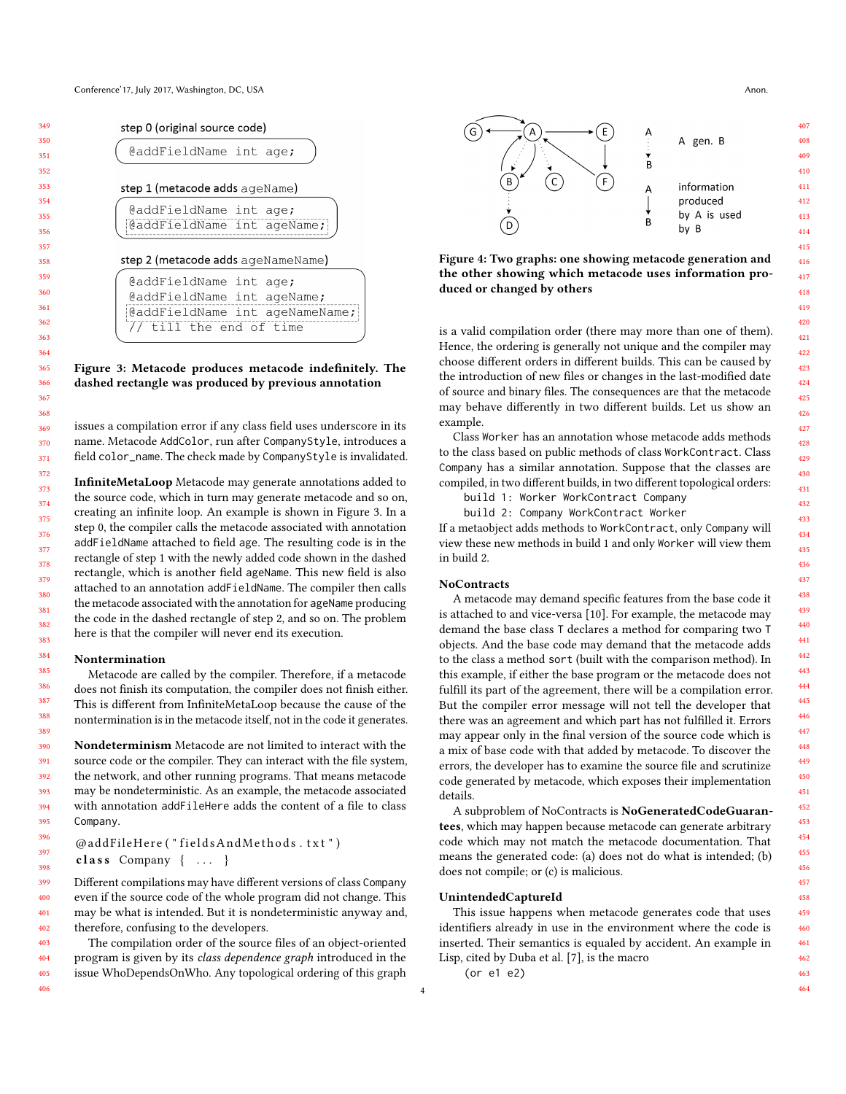<span id="page-3-0"></span>

| step 0 (original source code)      |  |  |  |  |  |  |
|------------------------------------|--|--|--|--|--|--|
| @addFieldName int age;             |  |  |  |  |  |  |
| step 1 (metacode adds ageName)     |  |  |  |  |  |  |
| @addFieldName int age;             |  |  |  |  |  |  |
| @addFieldName int ageName;         |  |  |  |  |  |  |
| step 2 (metacode adds ageNameName) |  |  |  |  |  |  |
| @addFieldName int age;             |  |  |  |  |  |  |
| @addFieldName int ageName;         |  |  |  |  |  |  |
|                                    |  |  |  |  |  |  |
| @addFieldName int ageNameName;     |  |  |  |  |  |  |
| // till the end of time            |  |  |  |  |  |  |

## Figure 3: Metacode produces metacode indefinitely. The dashed rectangle was produced by previous annotation

issues a compilation error if any class field uses underscore in its name. Metacode AddColor, run after CompanyStyle, introduces a field color\_name. The check made by CompanyStyle is invalidated.

InfiniteMetaLoop Metacode may generate annotations added to the source code, which in turn may generate metacode and so on, creating an infinite loop. An example is shown in Figure [3.](#page-3-0) In a step 0, the compiler calls the metacode associated with annotation addFieldName attached to field age. The resulting code is in the rectangle of step 1 with the newly added code shown in the dashed rectangle, which is another field ageName. This new field is also attached to an annotation addFieldName. The compiler then calls the metacode associated with the annotation for ageName producing the code in the dashed rectangle of step 2, and so on. The problem here is that the compiler will never end its execution.

#### Nontermination

Metacode are called by the compiler. Therefore, if a metacode does not finish its computation, the compiler does not finish either. This is different from InfiniteMetaLoop because the cause of the nontermination is in the metacode itself, not in the code it generates.

Nondeterminism Metacode are not limited to interact with the source code or the compiler. They can interact with the file system, the network, and other running programs. That means metacode may be nondeterministic. As an example, the metacode associated with annotation addFileHere adds the content of a file to class Company.

@addFileHere ("fieldsAndMethods.txt")

class Company  $\{ \ldots \}$ 

399 400 401 402 Different compilations may have different versions of class Company even if the source code of the whole program did not change. This may be what is intended. But it is nondeterministic anyway and, therefore, confusing to the developers.

403 404 405 406 The compilation order of the source files of an object-oriented program is given by its class dependence graph introduced in the issue WhoDependsOnWho. Any topological ordering of this graph

<span id="page-3-1"></span>

Figure 4: Two graphs: one showing metacode generation and the other showing which metacode uses information produced or changed by others

is a valid compilation order (there may more than one of them). Hence, the ordering is generally not unique and the compiler may choose different orders in different builds. This can be caused by the introduction of new files or changes in the last-modified date of source and binary files. The consequences are that the metacode may behave differently in two different builds. Let us show an example.

Class Worker has an annotation whose metacode adds methods to the class based on public methods of class WorkContract. Class Company has a similar annotation. Suppose that the classes are compiled, in two different builds, in two different topological orders:

build 1: Worker WorkContract Company

build 2: Company WorkContract Worker

If a metaobject adds methods to WorkContract, only Company will view these new methods in build 1 and only Worker will view them in build 2.

#### **NoContracts**

A metacode may demand specific features from the base code it is attached to and vice-versa [\[10\]](#page-7-14). For example, the metacode may demand the base class T declares a method for comparing two T objects. And the base code may demand that the metacode adds to the class a method sort (built with the comparison method). In this example, if either the base program or the metacode does not fulfill its part of the agreement, there will be a compilation error. But the compiler error message will not tell the developer that there was an agreement and which part has not fulfilled it. Errors may appear only in the final version of the source code which is a mix of base code with that added by metacode. To discover the errors, the developer has to examine the source file and scrutinize code generated by metacode, which exposes their implementation details.

A subproblem of NoContracts is NoGeneratedCodeGuarantees, which may happen because metacode can generate arbitrary code which may not match the metacode documentation. That means the generated code: (a) does not do what is intended; (b) does not compile; or (c) is malicious.

## UnintendedCaptureId

This issue happens when metacode generates code that uses identifiers already in use in the environment where the code is inserted. Their semantics is equaled by accident. An example in Lisp, cited by Duba et al. [\[7\]](#page-7-15), is the macro

(or e1 e2)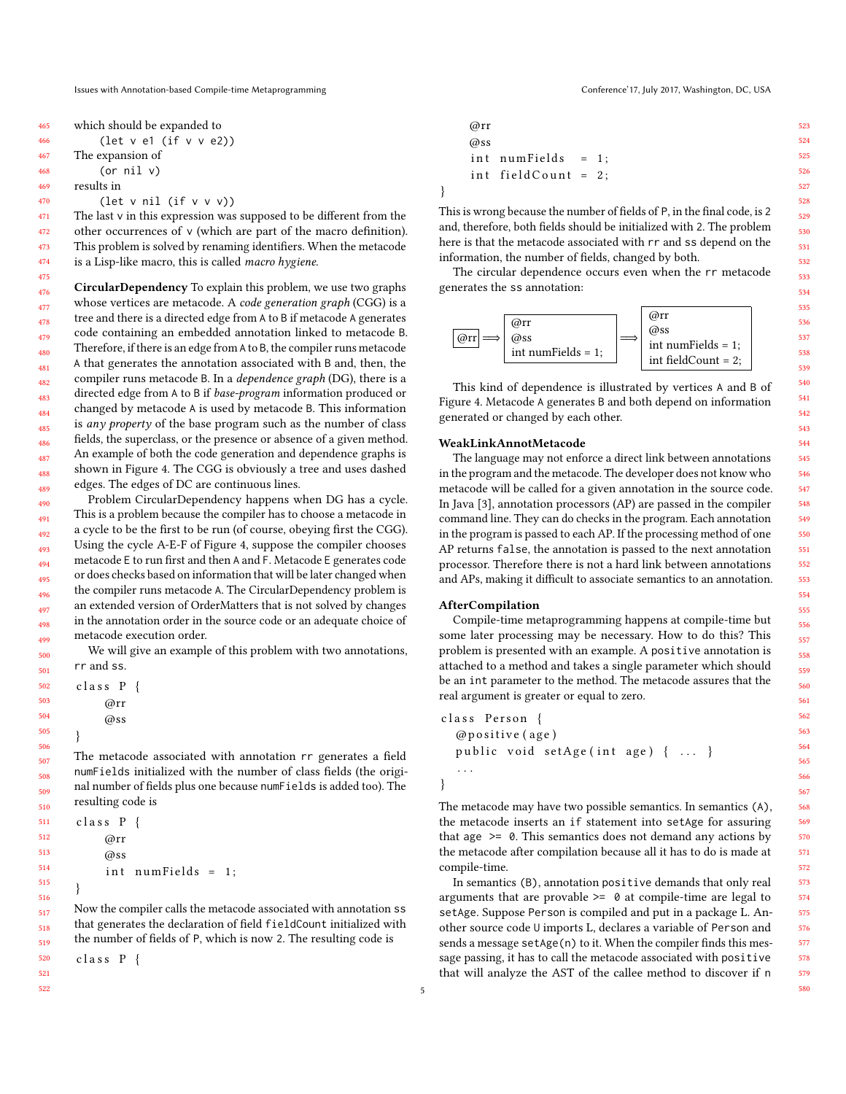| 465 | which should be expanded to                          |
|-----|------------------------------------------------------|
| 466 | (let $v$ el (if $v$ $v$ e2))                         |
| 467 | The expansion of                                     |
| 468 | (or $nil$ $v)$                                       |
| 469 | results in                                           |
| 470 | $(\text{let } v \text{ nil } (\text{if } v \vee v))$ |
| 471 | The last y in this expression was sur                |

472 473 474

The last v in this expression was supposed to be different from the other occurrences of v (which are part of the macro definition). This problem is solved by renaming identifiers. When the metacode is a Lisp-like macro, this is called macro hygiene.

475 476 477 478 479 480 481 482 483 484 485 486 487 488 489 CircularDependency To explain this problem, we use two graphs whose vertices are metacode. A code generation graph (CGG) is a tree and there is a directed edge from A to B if metacode A generates code containing an embedded annotation linked to metacode B. Therefore, if there is an edge from A to B, the compiler runs metacode A that generates the annotation associated with B and, then, the compiler runs metacode B. In a dependence graph (DG), there is a directed edge from A to B if base-program information produced or changed by metacode A is used by metacode B. This information is *any property* of the base program such as the number of class fields, the superclass, or the presence or absence of a given method. An example of both the code generation and dependence graphs is shown in [Figure 4.](#page-3-1) The CGG is obviously a tree and uses dashed edges. The edges of DC are continuous lines.

490 491 492 493 494 495 496 497 498 499 Problem CircularDependency happens when DG has a cycle. This is a problem because the compiler has to choose a metacode in a cycle to be the first to be run (of course, obeying first the CGG). Using the cycle A-E-F of [Figure 4,](#page-3-1) suppose the compiler chooses metacode E to run first and then A and F. Metacode E generates code or does checks based on information that will be later changed when the compiler runs metacode A. The CircularDependency problem is an extended version of OrderMatters that is not solved by changes in the annotation order in the source code or an adequate choice of metacode execution order.

We will give an example of this problem with two annotations, rr and ss.

```
class P
     @rr
     @ss
}
The metacode associated with annotation rr generates a field
numFields initialized with the number of class fields (the origi-
nal number of fields plus one because numFields is added too). The
resulting code is
```
class P { @rr @ss int numFields =  $1$ ;

Now the compiler calls the metacode associated with annotation ss that generates the declaration of field fieldCount initialized with the number of fields of P, which is now 2. The resulting code is

class P {

}

520 521 522

@rr @ss  $int numFields = 1;$ int field Count =  $2$ ;

This is wrong because the number of fields of P, in the final code, is 2 and, therefore, both fields should be initialized with 2. The problem here is that the metacode associated with rr and ss depend on the information, the number of fields, changed by both.

The circular dependence occurs even when the rr metacode generates the ss annotation:



This kind of dependence is illustrated by vertices A and B of [Figure 4.](#page-3-1) Metacode A generates B and both depend on information generated or changed by each other.

#### WeakLinkAnnotMetacode

}

The language may not enforce a direct link between annotations in the program and the metacode. The developer does not know who metacode will be called for a given annotation in the source code. In Java [\[3\]](#page-7-16), annotation processors (AP) are passed in the compiler command line. They can do checks in the program. Each annotation in the program is passed to each AP. If the processing method of one AP returns false, the annotation is passed to the next annotation processor. Therefore there is not a hard link between annotations and APs, making it difficult to associate semantics to an annotation.

### AfterCompilation

Compile-time metaprogramming happens at compile-time but some later processing may be necessary. How to do this? This problem is presented with an example. A positive annotation is attached to a method and takes a single parameter which should be an int parameter to the method. The metacode assures that the real argument is greater or equal to zero.

```
class Person {
  @ p o si ti v e ( age )
  public void setAge(int age) { ... }
   . . .
}
```
The metacode may have two possible semantics. In semantics (A), the metacode inserts an if statement into setAge for assuring that age  $\geq 0$ . This semantics does not demand any actions by the metacode after compilation because all it has to do is made at compile-time.

In semantics (B), annotation positive demands that only real arguments that are provable  $>= 0$  at compile-time are legal to setAge. Suppose Person is compiled and put in a package L. Another source code U imports L, declares a variable of Person and sends a message setAge(n) to it. When the compiler finds this message passing, it has to call the metacode associated with positive that will analyze the AST of the callee method to discover if n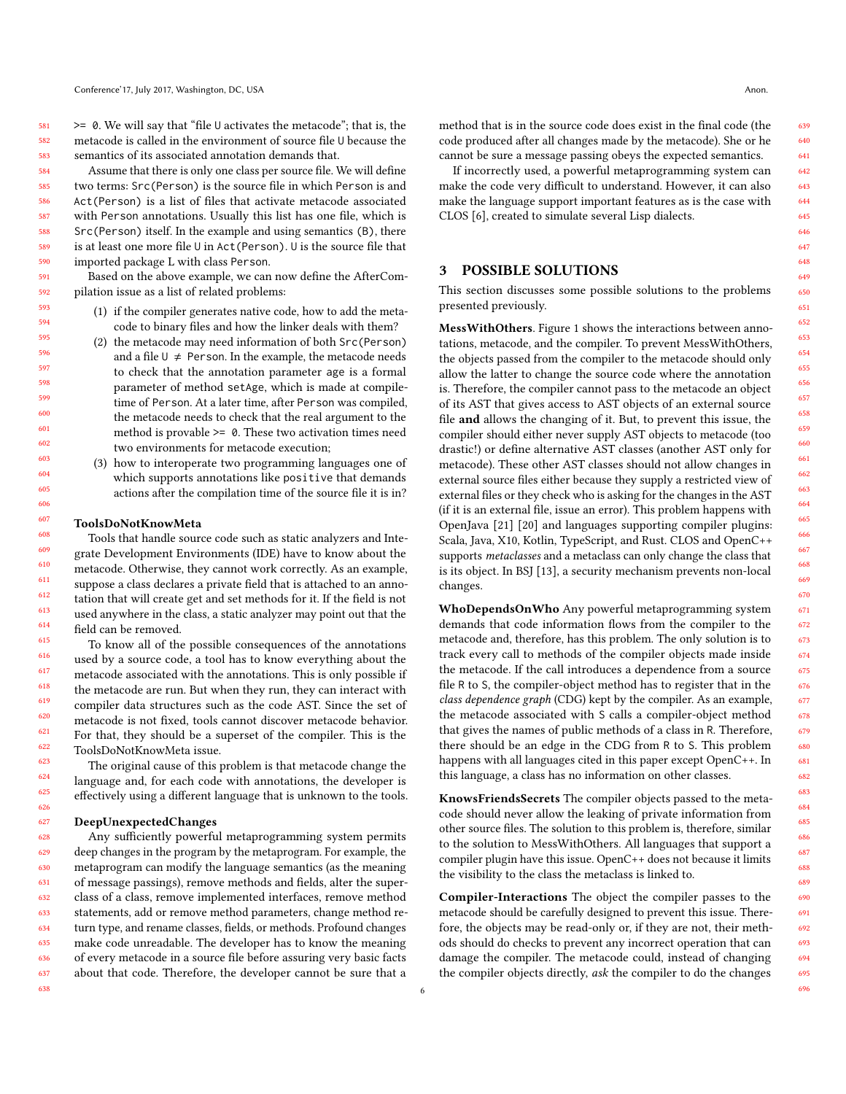$>= 0$ . We will say that "file U activates the metacode"; that is, the metacode is called in the environment of source file U because the semantics of its associated annotation demands that.

Assume that there is only one class per source file. We will define two terms: Src(Person) is the source file in which Person is and Act(Person) is a list of files that activate metacode associated with Person annotations. Usually this list has one file, which is Src(Person) itself. In the example and using semantics (B), there is at least one more file U in Act(Person). U is the source file that imported package L with class Person.

Based on the above example, we can now define the AfterCompilation issue as a list of related problems:

- (1) if the compiler generates native code, how to add the metacode to binary files and how the linker deals with them?
- (2) the metacode may need information of both Src(Person) and a file  $U \neq$  Person. In the example, the metacode needs to check that the annotation parameter age is a formal parameter of method setAge, which is made at compiletime of Person. At a later time, after Person was compiled, the metacode needs to check that the real argument to the method is provable >= 0. These two activation times need two environments for metacode execution;
- (3) how to interoperate two programming languages one of which supports annotations like positive that demands actions after the compilation time of the source file it is in?

#### ToolsDoNotKnowMeta

Tools that handle source code such as static analyzers and Integrate Development Environments (IDE) have to know about the metacode. Otherwise, they cannot work correctly. As an example, suppose a class declares a private field that is attached to an annotation that will create get and set methods for it. If the field is not used anywhere in the class, a static analyzer may point out that the field can be removed.

To know all of the possible consequences of the annotations used by a source code, a tool has to know everything about the metacode associated with the annotations. This is only possible if the metacode are run. But when they run, they can interact with compiler data structures such as the code AST. Since the set of metacode is not fixed, tools cannot discover metacode behavior. For that, they should be a superset of the compiler. This is the ToolsDoNotKnowMeta issue.

The original cause of this problem is that metacode change the language and, for each code with annotations, the developer is effectively using a different language that is unknown to the tools.

#### DeepUnexpectedChanges

638

628 629 630 631 632 633 634 635 636 637 Any sufficiently powerful metaprogramming system permits deep changes in the program by the metaprogram. For example, the metaprogram can modify the language semantics (as the meaning of message passings), remove methods and fields, alter the superclass of a class, remove implemented interfaces, remove method statements, add or remove method parameters, change method return type, and rename classes, fields, or methods. Profound changes make code unreadable. The developer has to know the meaning of every metacode in a source file before assuring very basic facts about that code. Therefore, the developer cannot be sure that a

method that is in the source code does exist in the final code (the code produced after all changes made by the metacode). She or he cannot be sure a message passing obeys the expected semantics.

If incorrectly used, a powerful metaprogramming system can make the code very difficult to understand. However, it can also make the language support important features as is the case with CLOS [\[6\]](#page-7-3), created to simulate several Lisp dialects.

## <span id="page-5-0"></span>3 POSSIBLE SOLUTIONS

This section discusses some possible solutions to the problems presented previously.

MessWithOthers. Figure [1](#page-1-0) shows the interactions between annotations, metacode, and the compiler. To prevent MessWithOthers, the objects passed from the compiler to the metacode should only allow the latter to change the source code where the annotation is. Therefore, the compiler cannot pass to the metacode an object of its AST that gives access to AST objects of an external source file and allows the changing of it. But, to prevent this issue, the compiler should either never supply AST objects to metacode (too drastic!) or define alternative AST classes (another AST only for metacode). These other AST classes should not allow changes in external source files either because they supply a restricted view of external files or they check who is asking for the changes in the AST (if it is an external file, issue an error). This problem happens with OpenJava [\[21\]](#page-7-17) [\[20\]](#page-7-18) and languages supporting compiler plugins: Scala, Java, X10, Kotlin, TypeScript, and Rust. CLOS and OpenC++ supports metaclasses and a metaclass can only change the class that is its object. In BSJ [\[13\]](#page-7-12), a security mechanism prevents non-local changes.

WhoDependsOnWho Any powerful metaprogramming system demands that code information flows from the compiler to the metacode and, therefore, has this problem. The only solution is to track every call to methods of the compiler objects made inside the metacode. If the call introduces a dependence from a source file R to S, the compiler-object method has to register that in the class dependence graph (CDG) kept by the compiler. As an example, the metacode associated with S calls a compiler-object method that gives the names of public methods of a class in R. Therefore, there should be an edge in the CDG from R to S. This problem happens with all languages cited in this paper except OpenC++. In this language, a class has no information on other classes.

KnowsFriendsSecrets The compiler objects passed to the metacode should never allow the leaking of private information from other source files. The solution to this problem is, therefore, similar to the solution to MessWithOthers. All languages that support a compiler plugin have this issue. OpenC++ does not because it limits the visibility to the class the metaclass is linked to.

Compiler-Interactions The object the compiler passes to the metacode should be carefully designed to prevent this issue. Therefore, the objects may be read-only or, if they are not, their methods should do checks to prevent any incorrect operation that can damage the compiler. The metacode could, instead of changing the compiler objects directly, ask the compiler to do the changes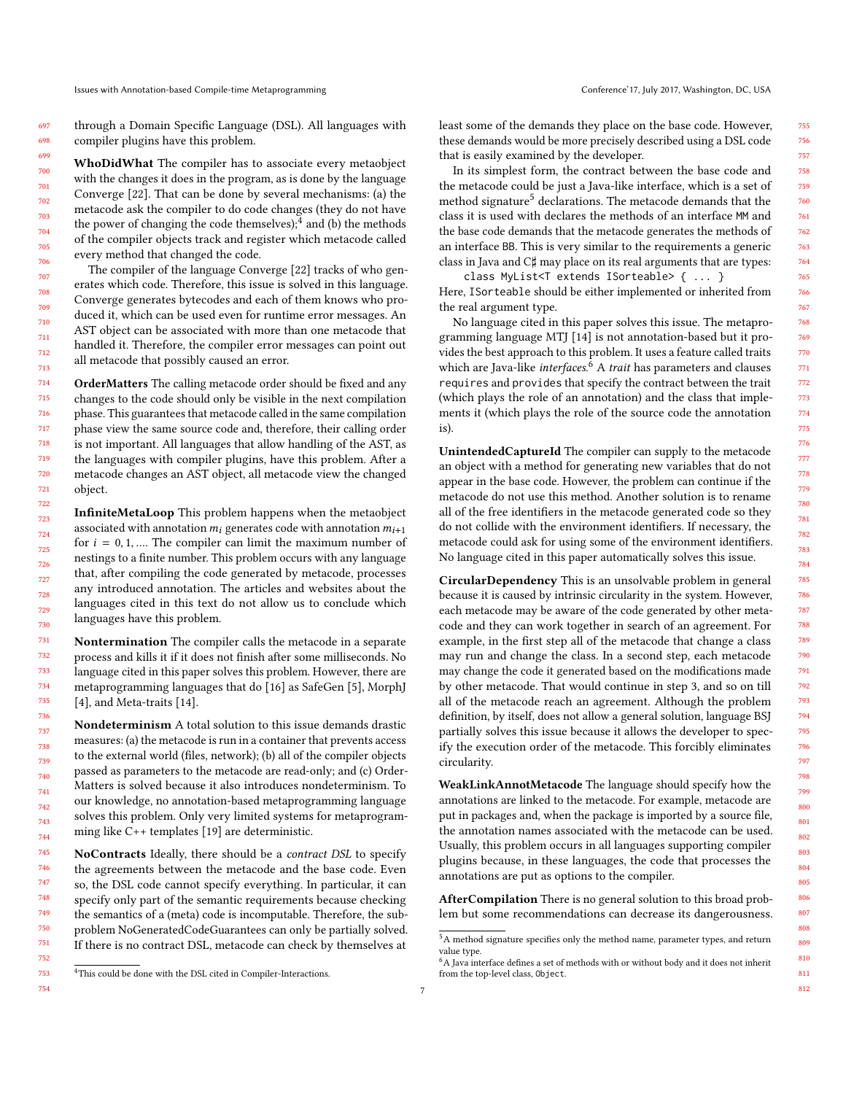through a Domain Specific Language (DSL). All languages with compiler plugins have this problem.

WhoDidWhat The compiler has to associate every metaobject with the changes it does in the program, as is done by the language Converge [\[22\]](#page-7-19). That can be done by several mechanisms: (a) the metacode ask the compiler to do code changes (they do not have the power of changing the code themselves);<sup>[4](#page-6-0)</sup> and (b) the methods of the compiler objects track and register which metacode called every method that changed the code.

The compiler of the language Converge [\[22\]](#page-7-19) tracks of who generates which code. Therefore, this issue is solved in this language. Converge generates bytecodes and each of them knows who produced it, which can be used even for runtime error messages. An AST object can be associated with more than one metacode that handled it. Therefore, the compiler error messages can point out all metacode that possibly caused an error.

OrderMatters The calling metacode order should be fixed and any changes to the code should only be visible in the next compilation phase. This guarantees that metacode called in the same compilation phase view the same source code and, therefore, their calling order is not important. All languages that allow handling of the AST, as the languages with compiler plugins, have this problem. After a metacode changes an AST object, all metacode view the changed object.

InfiniteMetaLoop This problem happens when the metaobject associated with annotation  $m_i$  generates code with annotation  $m_{i+1}$ for  $i = 0, 1, \dots$  The compiler can limit the maximum number of nestings to a finite number. This problem occurs with any language that, after compiling the code generated by metacode, processes any introduced annotation. The articles and websites about the languages cited in this text do not allow us to conclude which languages have this problem.

Nontermination The compiler calls the metacode in a separate process and kills it if it does not finish after some milliseconds. No language cited in this paper solves this problem. However, there are metaprogramming languages that do [\[16\]](#page-7-20) as SafeGen [\[5\]](#page-7-21), MorphJ [\[4\]](#page-7-22), and Meta-traits [\[14\]](#page-7-23).

Nondeterminism A total solution to this issue demands drastic measures: (a) the metacode is run in a container that prevents access to the external world (files, network); (b) all of the compiler objects passed as parameters to the metacode are read-only; and (c) Order-Matters is solved because it also introduces nondeterminism. To our knowledge, no annotation-based metaprogramming language solves this problem. Only very limited systems for metaprogramming like C++ templates [\[19\]](#page-7-24) are deterministic.

NoContracts Ideally, there should be a contract DSL to specify the agreements between the metacode and the base code. Even so, the DSL code cannot specify everything. In particular, it can specify only part of the semantic requirements because checking the semantics of a (meta) code is incomputable. Therefore, the subproblem NoGeneratedCodeGuarantees can only be partially solved. If there is no contract DSL, metacode can check by themselves at

least some of the demands they place on the base code. However, these demands would be more precisely described using a DSL code that is easily examined by the developer.

In its simplest form, the contract between the base code and the metacode could be just a Java-like interface, which is a set of method signature<sup>[5](#page-6-1)</sup> declarations. The metacode demands that the class it is used with declares the methods of an interface MM and the base code demands that the metacode generates the methods of an interface BB. This is very similar to the requirements a generic class in Java and C♯ may place on its real arguments that are types:

class MyList<T extends ISorteable> { ... } Here, ISorteable should be either implemented or inherited from the real argument type.

No language cited in this paper solves this issue. The metaprogramming language MTJ [\[14\]](#page-7-23) is not annotation-based but it provides the best approach to this problem. It uses a feature called traits which are Java-like interfaces.<sup>[6](#page-6-2)</sup> A trait has parameters and clauses requires and provides that specify the contract between the trait (which plays the role of an annotation) and the class that implements it (which plays the role of the source code the annotation is).

UnintendedCaptureId The compiler can supply to the metacode an object with a method for generating new variables that do not appear in the base code. However, the problem can continue if the metacode do not use this method. Another solution is to rename all of the free identifiers in the metacode generated code so they do not collide with the environment identifiers. If necessary, the metacode could ask for using some of the environment identifiers. No language cited in this paper automatically solves this issue.

CircularDependency This is an unsolvable problem in general because it is caused by intrinsic circularity in the system. However, each metacode may be aware of the code generated by other metacode and they can work together in search of an agreement. For example, in the first step all of the metacode that change a class may run and change the class. In a second step, each metacode may change the code it generated based on the modifications made by other metacode. That would continue in step 3, and so on till all of the metacode reach an agreement. Although the problem definition, by itself, does not allow a general solution, language BSJ partially solves this issue because it allows the developer to specify the execution order of the metacode. This forcibly eliminates circularity.

WeakLinkAnnotMetacode The language should specify how the annotations are linked to the metacode. For example, metacode are put in packages and, when the package is imported by a source file, the annotation names associated with the metacode can be used. Usually, this problem occurs in all languages supporting compiler plugins because, in these languages, the code that processes the annotations are put as options to the compiler.

AfterCompilation There is no general solution to this broad problem but some recommendations can decrease its dangerousness.

<span id="page-6-0"></span><sup>4</sup>This could be done with the DSL cited in Compiler-Interactions.

<span id="page-6-1"></span> $^5\mathrm{A}$  method signature specifies only the method name, parameter types, and return value type.

<span id="page-6-2"></span> ${}^{6}$ A Java interface defines a set of methods with or without body and it does not inherit from the top-level class, Object.